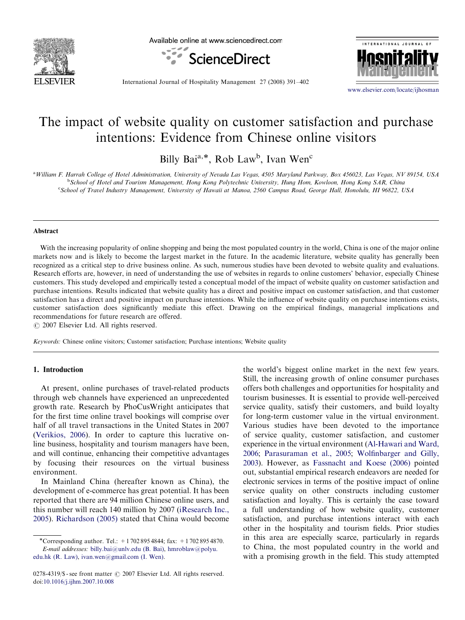

Available online at www.sciencedirect.com





International Journal of Hospitality Management 27 (2008) 391–402

<www.elsevier.com/locate/ijhosman>

# The impact of website quality on customer satisfaction and purchase intentions: Evidence from Chinese online visitors

Billy Bai<sup>a,\*</sup>, Rob Law<sup>b</sup>, Ivan Wen<sup>c</sup>

a<br>William F. Harrah College of Hotel Administration, University of Nevada Las Vegas, 4505 Maryland Parkway, Box 456023, Las Vegas, NV 89154, USA b School of Hotel and Tourism Management, Hong Kong Polytechnic University, Hung Hom, Kowloon, Hong Kong SAR, China c School of Travel Industry Management, University of Hawaii at Manoa, 2560 Campus Road, George Hall, Honolulu, HI 96822, USA

#### Abstract

With the increasing popularity of online shopping and being the most populated country in the world, China is one of the major online markets now and is likely to become the largest market in the future. In the academic literature, website quality has generally been recognized as a critical step to drive business online. As such, numerous studies have been devoted to website quality and evaluations. Research efforts are, however, in need of understanding the use of websites in regards to online customers' behavior, especially Chinese customers. This study developed and empirically tested a conceptual model of the impact of website quality on customer satisfaction and purchase intentions. Results indicated that website quality has a direct and positive impact on customer satisfaction, and that customer satisfaction has a direct and positive impact on purchase intentions. While the influence of website quality on purchase intentions exists, customer satisfaction does significantly mediate this effect. Drawing on the empirical findings, managerial implications and recommendations for future research are offered.

 $C$  2007 Elsevier Ltd. All rights reserved.

Keywords: Chinese online visitors; Customer satisfaction; Purchase intentions; Website quality

## 1. Introduction

At present, online purchases of travel-related products through web channels have experienced an unprecedented growth rate. Research by PhoCusWright anticipates that for the first time online travel bookings will comprise over half of all travel transactions in the United States in 2007 ([Verikios, 2006\)](#page--1-0). In order to capture this lucrative online business, hospitality and tourism managers have been, and will continue, enhancing their competitive advantages by focusing their resources on the virtual business environment.

In Mainland China (hereafter known as China), the development of e-commerce has great potential. It has been reported that there are 94 million Chinese online users, and this number will reach 140 million by 2007 ([iResearch Inc.,](#page--1-0) [2005](#page--1-0)). [Richardson \(2005\)](#page--1-0) stated that China would become

[edu.hk \(R. Law\),](mailto:hmroblaw@polyu.edu.hk) [ivan.wen@gmail.com \(I. Wen\)](mailto:ivan.wen@gmail.com).

the world's biggest online market in the next few years. Still, the increasing growth of online consumer purchases offers both challenges and opportunities for hospitality and tourism businesses. It is essential to provide well-perceived service quality, satisfy their customers, and build loyalty for long-term customer value in the virtual environment. Various studies have been devoted to the importance of service quality, customer satisfaction, and customer experience in the virtual environment ([Al-Hawari and Ward,](#page--1-0) [2006](#page--1-0); [Parasuraman et al., 2005;](#page--1-0) [Wolfinbarger and Gilly,](#page--1-0) [2003](#page--1-0)). However, as [Fassnacht and Koese \(2006\)](#page--1-0) pointed out, substantial empirical research endeavors are needed for electronic services in terms of the positive impact of online service quality on other constructs including customer satisfaction and loyalty. This is certainly the case toward a full understanding of how website quality, customer satisfaction, and purchase intentions interact with each other in the hospitality and tourism fields. Prior studies in this area are especially scarce, particularly in regards to China, the most populated country in the world and with a promising growth in the field. This study attempted

<sup>-</sup>Corresponding author. Tel.: +1 702 895 4844; fax: +1 702 895 4870. E-mail addresses: [billy.bai@unlv.edu \(B. Bai\)](mailto:billy.bai@unlv.edu), [hmroblaw@polyu.](mailto:hmroblaw@polyu.edu.hk)

<sup>0278-4319/\$ -</sup> see front matter © 2007 Elsevier Ltd. All rights reserved. doi:[10.1016/j.ijhm.2007.10.008](dx.doi.org/10.1016/j.ijhm.2007.10.008)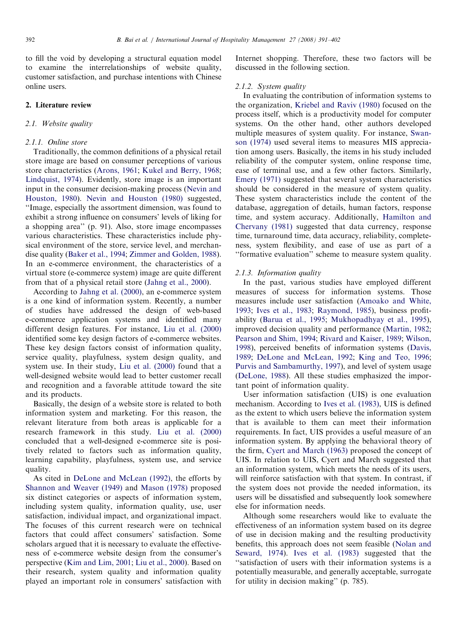to fill the void by developing a structural equation model to examine the interrelationships of website quality, customer satisfaction, and purchase intentions with Chinese online users.

## 2. Literature review

# 2.1. Website quality

## 2.1.1. Online store

Traditionally, the common definitions of a physical retail store image are based on consumer perceptions of various store characteristics ([Arons, 1961](#page--1-0); [Kukel and Berry, 1968](#page--1-0); [Lindquist, 1974](#page--1-0)). Evidently, store image is an important input in the consumer decision-making process [\(Nevin and](#page--1-0) [Houston, 1980\)](#page--1-0). [Nevin and Houston \(1980\)](#page--1-0) suggested, ''Image, especially the assortment dimension, was found to exhibit a strong influence on consumers' levels of liking for a shopping area'' (p. 91). Also, store image encompasses various characteristics. These characteristics include physical environment of the store, service level, and merchandise quality [\(Baker et al., 1994;](#page--1-0) [Zimmer and Golden, 1988\)](#page--1-0). In an e-commerce environment, the characteristics of a virtual store (e-commerce system) image are quite different from that of a physical retail store ([Jahng et al., 2000\)](#page--1-0).

According to [Jahng et al. \(2000\),](#page--1-0) an e-commerce system is a one kind of information system. Recently, a number of studies have addressed the design of web-based e-commerce application systems and identified many different design features. For instance, [Liu et al. \(2000\)](#page--1-0) identified some key design factors of e-commerce websites. These key design factors consist of information quality, service quality, playfulness, system design quality, and system use. In their study, [Liu et al. \(2000\)](#page--1-0) found that a well-designed website would lead to better customer recall and recognition and a favorable attitude toward the site and its products.

Basically, the design of a website store is related to both information system and marketing. For this reason, the relevant literature from both areas is applicable for a research framework in this study. [Liu et al. \(2000\)](#page--1-0) concluded that a well-designed e-commerce site is positively related to factors such as information quality, learning capability, playfulness, system use, and service quality.

As cited in [DeLone and McLean \(1992\)](#page--1-0), the efforts by [Shannon and Weaver \(1949\)](#page--1-0) and [Mason \(1978\)](#page--1-0) proposed six distinct categories or aspects of information system, including system quality, information quality, use, user satisfaction, individual impact, and organizational impact. The focuses of this current research were on technical factors that could affect consumers' satisfaction. Some scholars argued that it is necessary to evaluate the effectiveness of e-commerce website design from the consumer's perspective ([Kim and Lim, 2001](#page--1-0); [Liu et al., 2000](#page--1-0)). Based on their research, system quality and information quality played an important role in consumers' satisfaction with Internet shopping. Therefore, these two factors will be discussed in the following section.

### 2.1.2. System quality

In evaluating the contribution of information systems to the organization, [Kriebel and Raviv \(1980\)](#page--1-0) focused on the process itself, which is a productivity model for computer systems. On the other hand, other authors developed multiple measures of system quality. For instance, [Swan](#page--1-0)[son \(1974\)](#page--1-0) used several items to measures MIS appreciation among users. Basically, the items in his study included reliability of the computer system, online response time, ease of terminal use, and a few other factors. Similarly, [Emery \(1971\)](#page--1-0) suggested that several system characteristics should be considered in the measure of system quality. These system characteristics include the content of the database, aggregation of details, human factors, response time, and system accuracy. Additionally, [Hamilton and](#page--1-0) [Chervany \(1981\)](#page--1-0) suggested that data currency, response time, turnaround time, data accuracy, reliability, completeness, system flexibility, and ease of use as part of a ''formative evaluation'' scheme to measure system quality.

### 2.1.3. Information quality

In the past, various studies have employed different measures of success for information systems. Those measures include user satisfaction ([Amoako and White,](#page--1-0) [1993;](#page--1-0) [Ives et al., 1983](#page--1-0); [Raymond, 1985\)](#page--1-0), business profitability [\(Barua et al., 1995;](#page--1-0) [Mukhopadhyay et al., 1995\)](#page--1-0), improved decision quality and performance [\(Martin, 1982](#page--1-0); [Pearson and Shim, 1994;](#page--1-0) [Rivard and Kaiser, 1989](#page--1-0); [Wilson,](#page--1-0) [1998\)](#page--1-0), perceived benefits of information systems [\(Davis,](#page--1-0) [1989;](#page--1-0) [DeLone and McLean, 1992](#page--1-0); [King and Teo, 1996](#page--1-0); [Purvis and Sambamurthy, 1997](#page--1-0)), and level of system usage [\(DeLone, 1988](#page--1-0)). All these studies emphasized the important point of information quality.

User information satisfaction (UIS) is one evaluation mechanism. According to [Ives et al. \(1983\),](#page--1-0) UIS is defined as the extent to which users believe the information system that is available to them can meet their information requirements. In fact, UIS provides a useful measure of an information system. By applying the behavioral theory of the firm, [Cyert and March \(1963\)](#page--1-0) proposed the concept of UIS. In relation to UIS, Cyert and March suggested that an information system, which meets the needs of its users, will reinforce satisfaction with that system. In contrast, if the system does not provide the needed information, its users will be dissatisfied and subsequently look somewhere else for information needs.

Although some researchers would like to evaluate the effectiveness of an information system based on its degree of use in decision making and the resulting productivity benefits, this approach does not seem feasible [\(Nolan and](#page--1-0) [Seward, 1974](#page--1-0)). [Ives et al. \(1983\)](#page--1-0) suggested that the ''satisfaction of users with their information systems is a potentially measurable, and generally acceptable, surrogate for utility in decision making'' (p. 785).